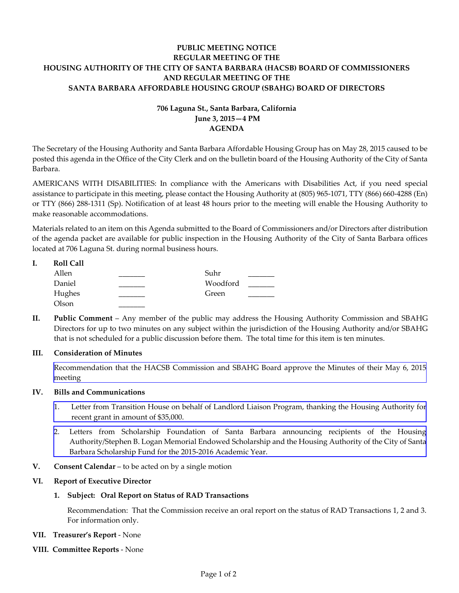## **PUBLIC MEETING NOTICE REGULAR MEETING OF THE HOUSING AUTHORITY OF THE CITY OF SANTA BARBARA (HACSB) BOARD OF COMMISSIONERS AND REGULAR MEETING OF THE SANTA BARBARA AFFORDABLE HOUSING GROUP (SBAHG) BOARD OF DIRECTORS**

# **706 Laguna St., Santa Barbara, California June 3, 2015—4 PM AGENDA**

The Secretary of the Housing Authority and Santa Barbara Affordable Housing Group has on May 28, 2015 caused to be posted this agenda in the Office of the City Clerk and on the bulletin board of the Housing Authority of the City of Santa Barbara.

AMERICANS WITH DISABILITIES: In compliance with the Americans with Disabilities Act, if you need special assistance to participate in this meeting, please contact the Housing Authority at (805) 965-1071, TTY (866) 660-4288 (En) or TTY (866) 288-1311 (Sp). Notification of at least 48 hours prior to the meeting will enable the Housing Authority to make reasonable accommodations.

Materials related to an item on this Agenda submitted to the Board of Commissioners and/or Directors after distribution of the agenda packet are available for public inspection in the Housing Authority of the City of Santa Barbara offices located at 706 Laguna St. during normal business hours.

| <b>Roll Call</b> |          |  |
|------------------|----------|--|
| Allen            | Suhr     |  |
| Daniel           | Woodford |  |
| Hughes           | Green    |  |
| Olson            |          |  |

**II. Public Comment** – Any member of the public may address the Housing Authority Commission and SBAHG Directors for up to two minutes on any subject within the jurisdiction of the Housing Authority and/or SBAHG that is not scheduled for a public discussion before them. The total time for this item is ten minutes.

### **III. Consideration of Minutes**

 [Recommendation that the HACSB Commission and SBAHG Board approve the Minutes of their May 6, 2015](http://hacsb.org/download/meetings-2015/items/06_june/item_III_I_2015_06_03.pdf)  meeting

#### **IV. Bills and Communications**

- [1. Letter from Transition House on behalf of Landlord Liaison Program, thanking the Housing Authority for](http://hacsb.org/download/meetings-2015/items/06_june/item_IV_I_2015_06_03.pdf)  recent grant in amount of \$35,000.
- [2. Letters from Scholarship Foundation of Santa Barbara announcing recipients of the Housing](http://hacsb.org/download/meetings-2015/items/06_june/item_IV_II_2015_06_03.pdf)  Authority/Stephen B. Logan Memorial Endowed Scholarship and the Housing Authority of the City of Santa Barbara Scholarship Fund for the 2015-2016 Academic Year.
- **V. Consent Calendar** to be acted on by a single motion

#### **VI. Report of Executive Director**

#### **1. Subject: Oral Report on Status of RAD Transactions**

Recommendation: That the Commission receive an oral report on the status of RAD Transactions 1, 2 and 3. For information only.

- **VII. Treasurer's Report** None
- **VIII. Committee Reports**  None